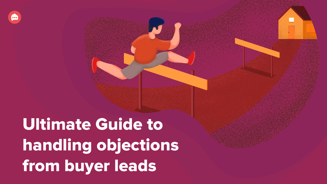Ultimate Guide to handling objections from buyer leads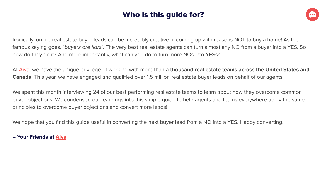# Who is this guide for?



Ironically, online real estate buyer leads can be incredibly creative in coming up with reasons NOT to buy a home! As the famous saying goes, "buyers are liars". The very best real estate agents can turn almost any NO from a buyer into a YES. So how do they do it? And more importantly, what can you do to turn more NOs into YESs?

At [Aiva,](https://www.hireaiva.com/?tp_src=scripts-ebook) we have the unique privilege of working with more than a **thousand real estate teams across the United States and Canada**. This year, we have engaged and qualified over 1.5 million real estate buyer leads on behalf of our agents!

We spent this month interviewing 24 of our best performing real estate teams to learn about how they overcome common buyer objections. We condensed our learnings into this simple guide to help agents and teams everywhere apply the same principles to overcome buyer objections and convert more leads!

We hope that you find this guide useful in converting the next buyer lead from a NO into a YES. Happy converting!

# **-- Your Friends at [Aiva](https://www.hireaiva.com/?tp_src=scripts-ebook)**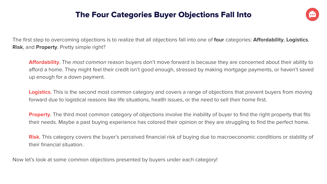# The Four Categories Buyer Objections Fall Into



The first step to overcoming objections is to realize that all objections fall into one of **four** categories: **Affordability**, **Logistics**, **Risk**, and **Property**. Pretty simple right?

**Affordability**. The most common reason buyers don't move forward is because they are concerned about their ability to afford a home. They might feel their credit isn't good enough, stressed by making mortgage payments, or haven't saved up enough for a down payment.

**Logistics**. This is the second most common category and covers a range of objections that prevent buyers from moving forward due to logistical reasons like life situations, health issues, or the need to sell their home first.

**Property**. The third most common category of objections involve the inability of buyer to find the right property that fits their needs. Maybe a past buying experience has colored their opinion or they are struggling to find the perfect home.

**Risk**. This category covers the buyer's perceived financial risk of buying due to macroeconomic conditions or stability of their financial situation.

Now let's look at some common objections presented by buyers under each category!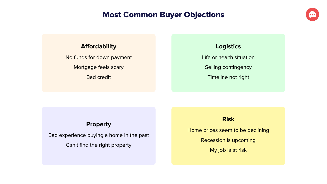# Most Common Buyer Objections



# **Affordability**

No funds for down payment Mortgage feels scary Bad credit

# **Logistics**

Life or health situation Selling contingency Timeline not right

# **Property**

Bad experience buying a home in the past Can't find the right property

# **Risk**

Home prices seem to be declining

Recession is upcoming

My job is at risk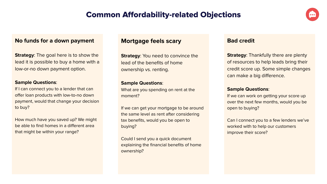# Common Affordability-related Objections



### **No funds for a down payment**

**Strategy:** The goal here is to show the lead it is possible to buy a home with a low-or-no down payment option.

#### **Sample Questions**:

If I can connect you to a lender that can offer loan products with low-to-no down payment, would that change your decision to buy?

How much have you saved up? We might be able to find homes in a different area that might be within your range?

# **Mortgage feels scary**

**Strategy: You need to convince the** lead of the benefits of home ownership vs. renting.

#### **Sample Questions**:

What are you spending on rent at the moment?

If we can get your mortgage to be around the same level as rent after considering tax benefits, would you be open to buying?

Could I send you a quick document explaining the financial benefits of home ownership?

### **Bad credit**

**Strategy: Thankfully there are plenty** of resources to help leads bring their credit score up. Some simple changes can make a big difference.

#### **Sample Questions**:

If we can work on getting your score up over the next few months, would you be open to buying?

Can I connect you to a few lenders we've worked with to help our customers improve their score?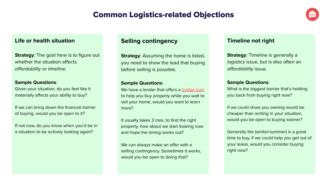# Common Logistics-related Objections



# **Life or health situation**

**Strategy:** The goal here is to figure out whether the situation affects affordability or timeline.

#### **Sample Questions**:

Given your situation, do you feel like it materially affects your ability to buy?

If we can bring down the financial barrier of buying, would you be open to it?

If not now, do you know when you'd be in a situation to be actively looking again?

# **Selling contingency**

**Strategy: Assuming the home is listed,** you need to show the lead that buying before selling is possible.

#### **Sample Questions**:

We have a lender that offers a [bridge loan](https://www.compass.com/bridge-loan-services/) to help you buy property while you wait to sell your home, would you want to learn more?

It usually takes 3 mos. to find the right property, how about we start looking now and hope the timing works out?

We can always make an offer with a selling contingency. Sometimes it works, would you be open to doing that?

## **Timeline not right**

**Strategy:** Timeline is generally a logistics issue, but is also often an affordability issue.

#### **Sample Questions**:

What is the biggest barrier that's holding you back from buying right now?

If we could show you owning would be cheaper than renting in your situation, would you be open to buying sooner?

Generally the (winter/summer) is a great time to buy, if we could help you get out of your lease, would you consider buying right now?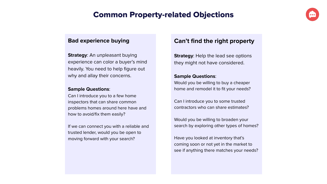# Common Property-related Objections

# **Bad experience buying**

**Strategy**: An unpleasant buying experience can color a buyer's mind heavily. You need to help figure out why and allay their concerns.

#### **Sample Questions**:

Can I introduce you to a few home inspectors that can share common problems homes around here have and how to avoid/fix them easily?

If we can connect you with a reliable and trusted lender, would you be open to moving forward with your search?

# **Can't find the right property**

**Strategy:** Help the lead see options they might not have considered.

### **Sample Questions**:

Would you be willing to buy a cheaper home and remodel it to fit your needs?

Can I introduce you to some trusted contractors who can share estimates?

Would you be willing to broaden your search by exploring other types of homes?

Have you looked at inventory that's coming soon or not yet in the market to see if anything there matches your needs?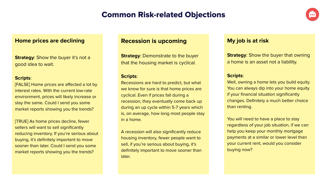# Common Risk-related Objections



### **Home prices are declining**

**Strategy:** Show the buyer it's not a good idea to wait.

#### **Scripts**:

[FALSE] Home prices are affected a lot by interest rates. With the current low-rate environment, prices will likely increase or stay the same. Could I send you some market reports showing you the trends?

[TRUE] As home prices decline, fewer sellers will want to sell significantly reducing inventory. If you're serious about buying, it's definitely important to move sooner than later. Could I send you some market reports showing you the trends?

## **Recession is upcoming**

**Strategy: Demonstrate to the buyer** that the housing market is cyclical.

#### **Scripts**:

Recessions are hard to predict, but what we know for sure is that home prices are cyclical. Even if prices fall during a recession, they eventually come back up during an up cycle within 5-7 years which is, on average, how long most people stay in a home.

A recession will also significantly reduce housing inventory, fewer people want to sell, if you're serious about buying, it's definitely important to move sooner than later.

## **My job is at risk**

**Strategy:** Show the buyer that owning a home is an asset not a liability.

#### **Scripts**:

Well, owning a home lets you build equity. You can always dip into your home equity if your financial situation significantly changes. Definitely a much better choice than renting.

You will need to have a place to stay regardless of your job situation, if we can help you keep your monthly mortgage payments at a similar or lower level than your current rent, would you consider buying now?